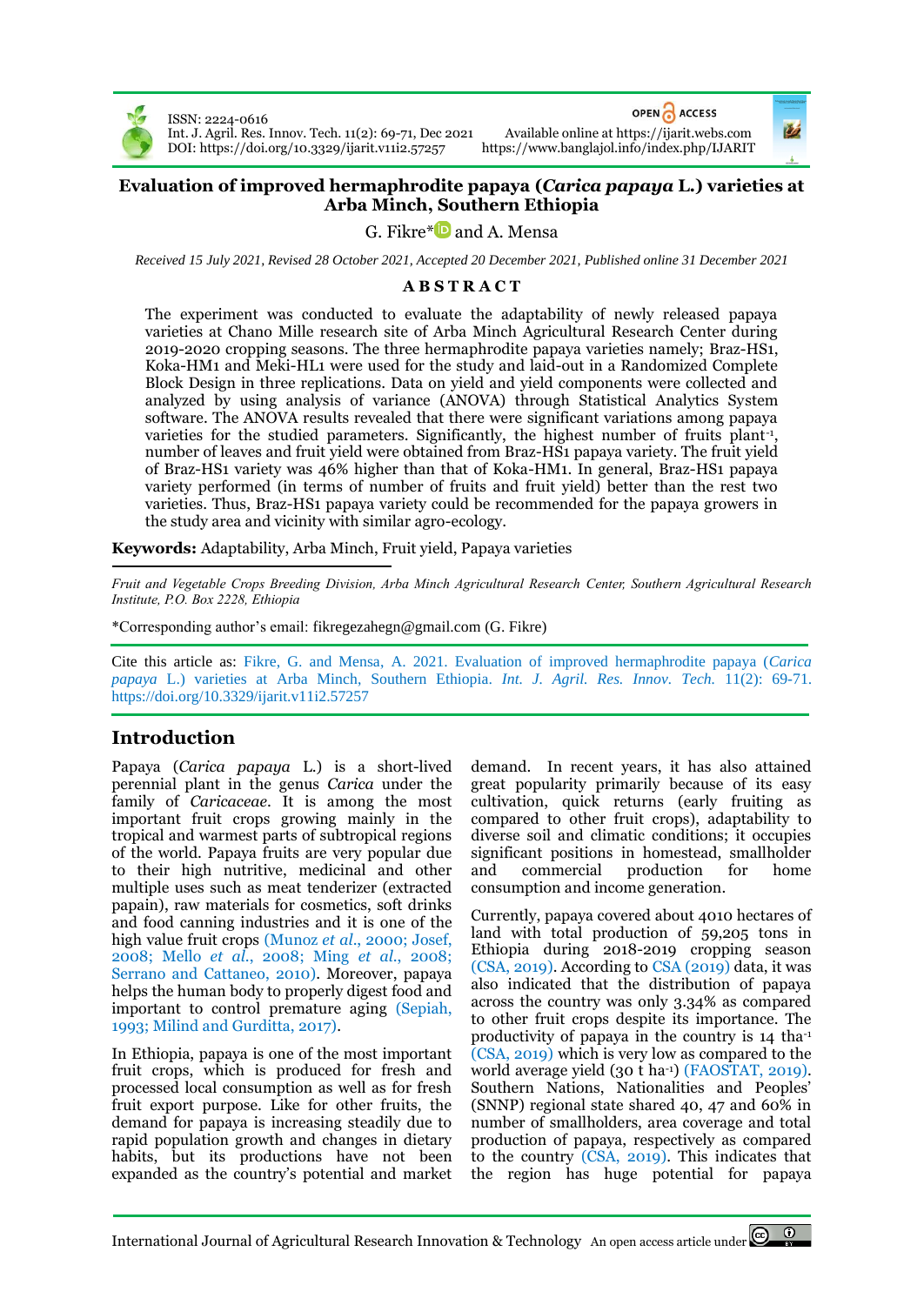

ISSN: 2224-0616 Int. J. Agril. Res. Innov. Tech. 11(2): 69-71, Dec 2021 Available online a[t https://ijarit.webs.com](http://ijarit.webs.com/) DOI[: https://doi.org/10.3329/ijarit.v11i2.57257](https://doi.org/10.3329/ijarit.v11i2.57257)

OPEN CACCESS



#### **Evaluation of improved hermaphrodite papaya (***Carica papaya* **L.) varieties at Arba Minch, Southern Ethiopia**

G. Fikre[\\*](https://orcid.org/0000-0003-0604-8868) $\blacksquare$  and A. Mensa

*Received 15 July 2021, Revised 28 October 2021, Accepted 20 December 2021, Published online 31 December 2021*

#### **A B S T R A C T**

The experiment was conducted to evaluate the adaptability of newly released papaya varieties at Chano Mille research site of Arba Minch Agricultural Research Center during 2019-2020 cropping seasons. The three hermaphrodite papaya varieties namely; Braz-HS1, Koka-HM1 and Meki-HL1 were used for the study and laid-out in a Randomized Complete Block Design in three replications. Data on yield and yield components were collected and analyzed by using analysis of variance (ANOVA) through Statistical Analytics System software. The ANOVA results revealed that there were significant variations among papaya varieties for the studied parameters. Significantly, the highest number of fruits plant-1 , number of leaves and fruit yield were obtained from Braz-HS1 papaya variety. The fruit yield of Braz-HS1 variety was 46% higher than that of Koka-HM1. In general, Braz-HS1 papaya variety performed (in terms of number of fruits and fruit yield) better than the rest two varieties. Thus, Braz-HS1 papaya variety could be recommended for the papaya growers in the study area and vicinity with similar agro-ecology.

**Keywords:** Adaptability, Arba Minch, Fruit yield, Papaya varieties

*Fruit and Vegetable Crops Breeding Division, Arba Minch Agricultural Research Center, Southern Agricultural Research Institute, P.O. Box 2228, Ethiopia*

\*Corresponding author's email[: fikregezahegn@gmail.com](mailto:fikregezahegn@gmail.com) (G. Fikre)

Cite this article as: Fikre, G. and Mensa, A. 2021. Evaluation of improved hermaphrodite papaya (*Carica papaya* L.) varieties at Arba Minch, Southern Ethiopia. *Int. J. Agril. Res. Innov. Tech.* 11(2): 69-71. <https://doi.org/10.3329/ijarit.v11i2.57257>

# **Introduction**

Papaya (*Carica papaya* L.) is a short-lived perennial plant in the genus *Carica* under the family of *Caricaceae*. It is among the most important fruit crops growing mainly in the tropical and warmest parts of subtropical regions of the world. Papaya fruits are very popular due to their high nutritive, medicinal and other multiple uses such as meat tenderizer (extracted papain), raw materials for cosmetics, soft drinks and food canning industries and it is one of the high value fruit crops (Munoz *et al*., 2000; Josef, 2008; Mello *et al*., 2008; Ming *et al*., 2008; Serrano and Cattaneo, 2010). Moreover, papaya helps the human body to properly digest food and important to control premature aging (Sepiah, 1993; Milind and Gurditta, 2017).

In Ethiopia, papaya is one of the most important fruit crops, which is produced for fresh and processed local consumption as well as for fresh fruit export purpose. Like for other fruits, the demand for papaya is increasing steadily due to rapid population growth and changes in dietary habits, but its productions have not been expanded as the country's potential and market

demand. In recent years, it has also attained great popularity primarily because of its easy cultivation, quick returns (early fruiting as compared to other fruit crops), adaptability to diverse soil and climatic conditions; it occupies significant positions in homestead, smallholder and commercial production for home consumption and income generation.

Currently, papaya covered about 4010 hectares of land with total production of 59,205 tons in Ethiopia during 2018-2019 cropping season (CSA, 2019). According to CSA (2019) data, it was also indicated that the distribution of papaya across the country was only 3.34% as compared to other fruit crops despite its importance. The productivity of papaya in the country is 14 tha-1 (CSA, 2019) which is very low as compared to the world average yield (30 t ha -1) (FAOSTAT, 2019). Southern Nations, Nationalities and Peoples' (SNNP) regional state shared 40, 47 and 60% in number of smallholders, area coverage and total production of papaya, respectively as compared to the country (CSA, 2019). This indicates that the region has huge potential for papaya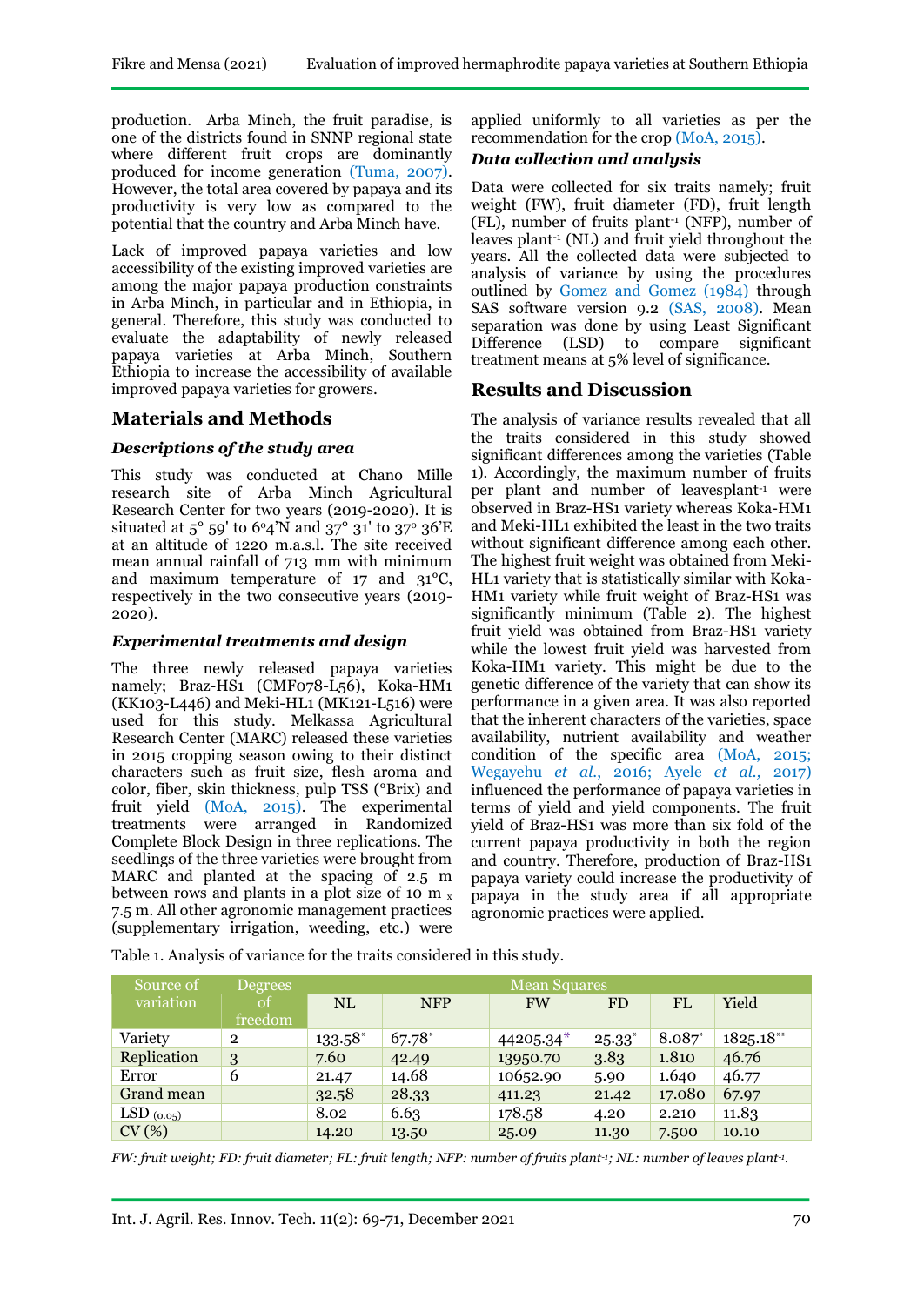production. Arba Minch, the fruit paradise, is one of the districts found in SNNP regional state where different fruit crops are dominantly produced for income generation (Tuma, 2007). However, the total area covered by papaya and its productivity is very low as compared to the potential that the country and Arba Minch have.

Lack of improved papaya varieties and low accessibility of the existing improved varieties are among the major papaya production constraints in Arba Minch, in particular and in Ethiopia, in general. Therefore, this study was conducted to evaluate the adaptability of newly released papaya varieties at Arba Minch, Southern Ethiopia to increase the accessibility of available improved papaya varieties for growers.

# **Materials and Methods**

#### *Descriptions of the study area*

This study was conducted at Chano Mille research site of Arba Minch Agricultural Research Center for two years (2019-2020). It is situated at  $5^{\circ}$  59' to 6°4'N and 37° 31' to 37° 36'E at an altitude of 1220 m.a.s.l. The site received mean annual rainfall of 713 mm with minimum and maximum temperature of 17 and 31°C, respectively in the two consecutive years (2019- 2020).

#### *Experimental treatments and design*

The three newly released papaya varieties namely; Braz-HS1 (CMF078-L<sub>50</sub>6), Koka-HM1 (KK103-L446) and Meki-HL1 (MK121-L516) were used for this study. Melkassa Agricultural Research Center (MARC) released these varieties in 2015 cropping season owing to their distinct characters such as fruit size, flesh aroma and color, fiber, skin thickness, pulp TSS (°Brix) and fruit yield (MoA, 2015). The experimental treatments were arranged in Randomized Complete Block Design in three replications. The seedlings of the three varieties were brought from MARC and planted at the spacing of 2.5 m between rows and plants in a plot size of 10 m  $<sub>x</sub>$ </sub> 7.5 m. All other agronomic management practices (supplementary irrigation, weeding, etc.) were

applied uniformly to all varieties as per the recommendation for the crop (MoA, 2015).

#### *Data collection and analysis*

Data were collected for six traits namely; fruit weight (FW), fruit diameter (FD), fruit length (FL), number of fruits plant-1 (NFP), number of leaves plant-1 (NL) and fruit yield throughout the years. All the collected data were subjected to analysis of variance by using the procedures outlined by Gomez and Gomez (1984) through SAS software version 9.2 (SAS, 2008). Mean separation was done by using Least Significant Difference (LSD) to compare significant treatment means at 5% level of significance.

## **Results and Discussion**

The analysis of variance results revealed that all the traits considered in this study showed significant differences among the varieties (Table 1). Accordingly, the maximum number of fruits per plant and number of leavesplant-1 were observed in Braz-HS1 variety whereas Koka-HM1 and Meki-HL1 exhibited the least in the two traits without significant difference among each other. The highest fruit weight was obtained from Meki-HL1 variety that is statistically similar with Koka-HM1 variety while fruit weight of Braz-HS1 was significantly minimum (Table 2). The highest fruit yield was obtained from Braz-HS1 variety while the lowest fruit yield was harvested from Koka-HM1 variety. This might be due to the genetic difference of the variety that can show its performance in a given area. It was also reported that the inherent characters of the varieties, space availability, nutrient availability and weather condition of the specific area (MoA, 2015; Wegayehu *et al*., 2016; Ayele *et al.,* 2017) influenced the performance of papaya varieties in terms of yield and yield components. The fruit yield of Braz-HS1 was more than six fold of the current papaya productivity in both the region and country. Therefore, production of Braz-HS1 papaya variety could increase the productivity of papaya in the study area if all appropriate agronomic practices were applied.

| Table 1. Analysis of variance for the traits considered in this study. |  |
|------------------------------------------------------------------------|--|
|------------------------------------------------------------------------|--|

| Source of       | <b>Degrees</b> | <b>Mean Squares</b> |            |           |                 |           |              |  |  |  |
|-----------------|----------------|---------------------|------------|-----------|-----------------|-----------|--------------|--|--|--|
| variation       | οf             | <b>NL</b>           | <b>NFP</b> | <b>FW</b> | <b>FD</b>       | <b>FL</b> | Yield        |  |  |  |
|                 | freedom        |                     |            |           |                 |           |              |  |  |  |
| Variety         | $\overline{2}$ | 133.58*             | 67.78*     | 44205.34* | $25.33^{\circ}$ | $8.087*$  | $1825.18***$ |  |  |  |
| Replication     | 3              | 7.60                | 42.49      | 13950.70  | 3.83            | 1.810     | 46.76        |  |  |  |
| Error           | 6              | 21.47               | 14.68      | 10652.90  | 5.90            | 1.640     | 46.77        |  |  |  |
| Grand mean      |                | 32.58               | 28.33      | 411.23    | 21.42           | 17.080    | 67.97        |  |  |  |
| LSD $_{(0.05)}$ |                | 8.02                | 6.63       | 178.58    | 4.20            | 2.210     | 11.83        |  |  |  |
| CV(%)           |                | 14.20               | 13.50      | 25.09     | 11.30           | 7.500     | 10.10        |  |  |  |

*FW: fruit weight; FD: fruit diameter; FL: fruit length; NFP: number of fruits plant-1; NL: number of leaves plant-1 .*